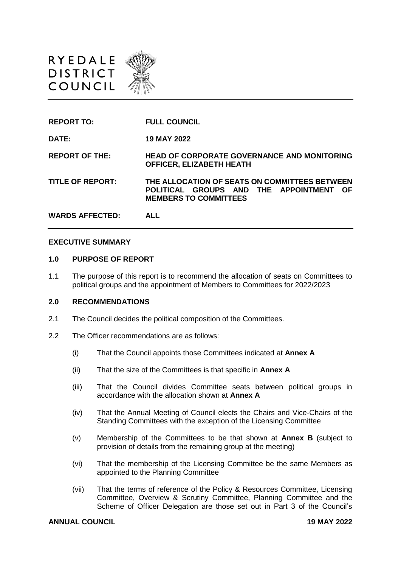



#### **EXECUTIVE SUMMARY**

#### **1.0 PURPOSE OF REPORT**

1.1 The purpose of this report is to recommend the allocation of seats on Committees to political groups and the appointment of Members to Committees for 2022/2023

#### **2.0 RECOMMENDATIONS**

- 2.1 The Council decides the political composition of the Committees.
- 2.2 The Officer recommendations are as follows:
	- (i) That the Council appoints those Committees indicated at **Annex A**
	- (ii) That the size of the Committees is that specific in **Annex A**
	- (iii) That the Council divides Committee seats between political groups in accordance with the allocation shown at **Annex A**
	- (iv) That the Annual Meeting of Council elects the Chairs and Vice-Chairs of the Standing Committees with the exception of the Licensing Committee
	- (v) Membership of the Committees to be that shown at **Annex B** (subject to provision of details from the remaining group at the meeting)
	- (vi) That the membership of the Licensing Committee be the same Members as appointed to the Planning Committee
	- (vii) That the terms of reference of the Policy & Resources Committee, Licensing Committee, Overview & Scrutiny Committee, Planning Committee and the Scheme of Officer Delegation are those set out in Part 3 of the Council's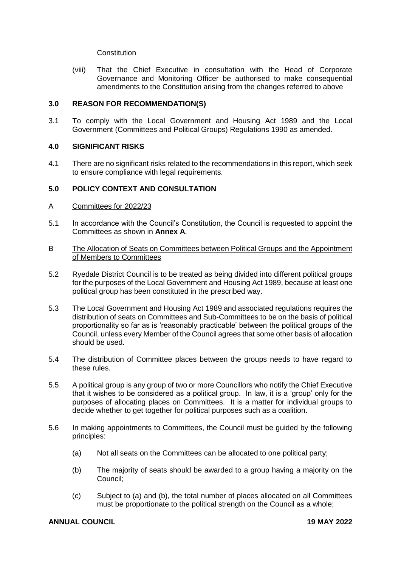**Constitution** 

(viii) That the Chief Executive in consultation with the Head of Corporate Governance and Monitoring Officer be authorised to make consequential amendments to the Constitution arising from the changes referred to above

#### **3.0 REASON FOR RECOMMENDATION(S)**

3.1 To comply with the Local Government and Housing Act 1989 and the Local Government (Committees and Political Groups) Regulations 1990 as amended.

#### **4.0 SIGNIFICANT RISKS**

4.1 There are no significant risks related to the recommendations in this report, which seek to ensure compliance with legal requirements.

#### **5.0 POLICY CONTEXT AND CONSULTATION**

- A Committees for 2022/23
- 5.1 In accordance with the Council's Constitution, the Council is requested to appoint the Committees as shown in **Annex A**.
- B The Allocation of Seats on Committees between Political Groups and the Appointment of Members to Committees
- 5.2 Ryedale District Council is to be treated as being divided into different political groups for the purposes of the Local Government and Housing Act 1989, because at least one political group has been constituted in the prescribed way.
- 5.3 The Local Government and Housing Act 1989 and associated regulations requires the distribution of seats on Committees and Sub-Committees to be on the basis of political proportionality so far as is 'reasonably practicable' between the political groups of the Council, unless every Member of the Council agrees that some other basis of allocation should be used.
- 5.4 The distribution of Committee places between the groups needs to have regard to these rules.
- 5.5 A political group is any group of two or more Councillors who notify the Chief Executive that it wishes to be considered as a political group. In law, it is a 'group' only for the purposes of allocating places on Committees. It is a matter for individual groups to decide whether to get together for political purposes such as a coalition.
- 5.6 In making appointments to Committees, the Council must be guided by the following principles:
	- (a) Not all seats on the Committees can be allocated to one political party;
	- (b) The majority of seats should be awarded to a group having a majority on the Council;
	- (c) Subject to (a) and (b), the total number of places allocated on all Committees must be proportionate to the political strength on the Council as a whole;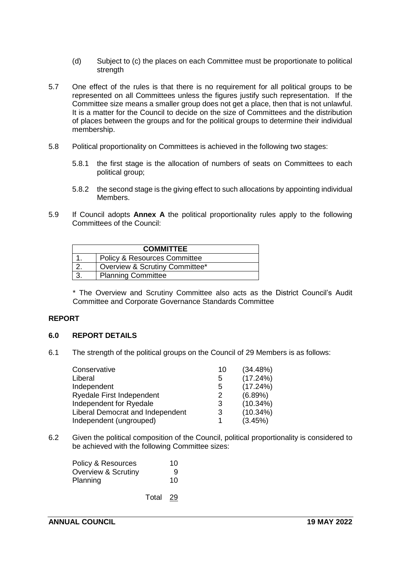- (d) Subject to (c) the places on each Committee must be proportionate to political strength
- 5.7 One effect of the rules is that there is no requirement for all political groups to be represented on all Committees unless the figures justify such representation. If the Committee size means a smaller group does not get a place, then that is not unlawful. It is a matter for the Council to decide on the size of Committees and the distribution of places between the groups and for the political groups to determine their individual membership.
- 5.8 Political proportionality on Committees is achieved in the following two stages:
	- 5.8.1 the first stage is the allocation of numbers of seats on Committees to each political group;
	- 5.8.2 the second stage is the giving effect to such allocations by appointing individual Members.
- 5.9 If Council adopts **Annex A** the political proportionality rules apply to the following Committees of the Council:

| <b>COMMITTEE</b> |                                         |  |  |  |
|------------------|-----------------------------------------|--|--|--|
|                  | <b>Policy &amp; Resources Committee</b> |  |  |  |
|                  | Overview & Scrutiny Committee*          |  |  |  |
|                  | <b>Planning Committee</b>               |  |  |  |

\* The Overview and Scrutiny Committee also acts as the District Council's Audit Committee and Corporate Governance Standards Committee

## **REPORT**

#### **6.0 REPORT DETAILS**

6.1 The strength of the political groups on the Council of 29 Members is as follows:

| 10 | (34.48%)    |
|----|-------------|
| 5  | (17.24%)    |
| 5  | (17.24%)    |
| 2  | $(6.89\%)$  |
| 3  | $(10.34\%)$ |
| 3  | $(10.34\%)$ |
|    | (3.45%)     |
|    |             |

6.2 Given the political composition of the Council, political proportionality is considered to be achieved with the following Committee sizes:

| Policy & Resources  | 10 |
|---------------------|----|
| Overview & Scrutiny | 9  |
| Planning            | 10 |

Total 29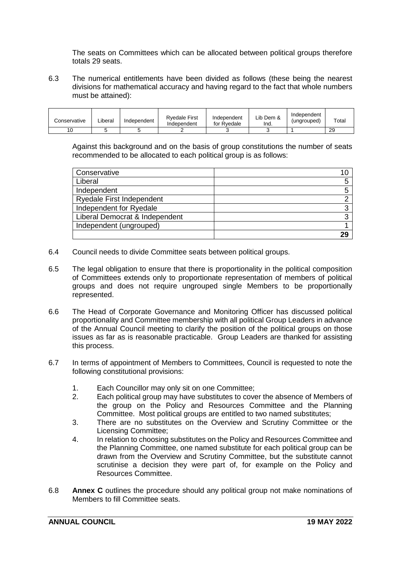The seats on Committees which can be allocated between political groups therefore totals 29 seats.

6.3 The numerical entitlements have been divided as follows (these being the nearest divisions for mathematical accuracy and having regard to the fact that whole numbers must be attained):

| Conservative | _iberal | Independent | <b>Rvedale First</b><br>Independent | Independent<br>for Rvedale | Lib Dem &<br>.lnd. | Independent<br>(ungrouped) | $\tau$ otal |
|--------------|---------|-------------|-------------------------------------|----------------------------|--------------------|----------------------------|-------------|
| 10           |         |             |                                     |                            |                    |                            | 29          |

Against this background and on the basis of group constitutions the number of seats recommended to be allocated to each political group is as follows:

| Conservative                   |    |
|--------------------------------|----|
| Liberal                        |    |
| Independent                    |    |
| Ryedale First Independent      |    |
| Independent for Ryedale        |    |
| Liberal Democrat & Independent |    |
| Independent (ungrouped)        |    |
|                                | 29 |

- 6.4 Council needs to divide Committee seats between political groups.
- 6.5 The legal obligation to ensure that there is proportionality in the political composition of Committees extends only to proportionate representation of members of political groups and does not require ungrouped single Members to be proportionally represented.
- 6.6 The Head of Corporate Governance and Monitoring Officer has discussed political proportionality and Committee membership with all political Group Leaders in advance of the Annual Council meeting to clarify the position of the political groups on those issues as far as is reasonable practicable. Group Leaders are thanked for assisting this process.
- 6.7 In terms of appointment of Members to Committees, Council is requested to note the following constitutional provisions:
	- 1. Each Councillor may only sit on one Committee;<br>2. Each political group may have substitutes to cove
	- Each political group may have substitutes to cover the absence of Members of the group on the Policy and Resources Committee and the Planning Committee. Most political groups are entitled to two named substitutes;
	- 3. There are no substitutes on the Overview and Scrutiny Committee or the Licensing Committee;
	- 4. In relation to choosing substitutes on the Policy and Resources Committee and the Planning Committee, one named substitute for each political group can be drawn from the Overview and Scrutiny Committee, but the substitute cannot scrutinise a decision they were part of, for example on the Policy and Resources Committee.
- 6.8 **Annex C** outlines the procedure should any political group not make nominations of Members to fill Committee seats.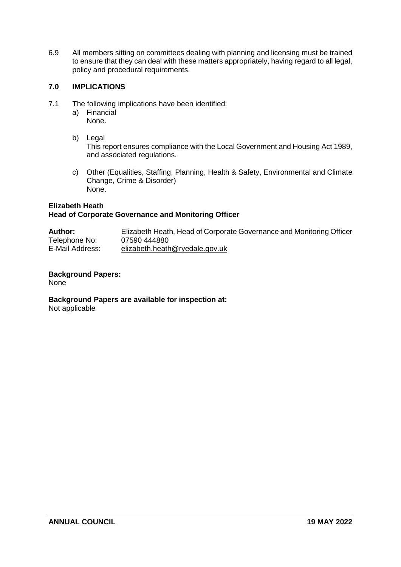6.9 All members sitting on committees dealing with planning and licensing must be trained to ensure that they can deal with these matters appropriately, having regard to all legal, policy and procedural requirements.

## **7.0 IMPLICATIONS**

- 7.1 The following implications have been identified:
	- a) Financial None.
	- b) Legal

This report ensures compliance with the Local Government and Housing Act 1989, and associated regulations.

c) Other (Equalities, Staffing, Planning, Health & Safety, Environmental and Climate Change, Crime & Disorder) None.

#### **Elizabeth Heath Head of Corporate Governance and Monitoring Officer**

| <b>Author:</b>  | Elizabeth Heath, Head of Corporate Governance and Monitoring Officer |
|-----------------|----------------------------------------------------------------------|
| Telephone No:   | 07590 444880                                                         |
| E-Mail Address: | elizabeth.heath@ryedale.gov.uk                                       |

# **Background Papers:**

None

# **Background Papers are available for inspection at:**

Not applicable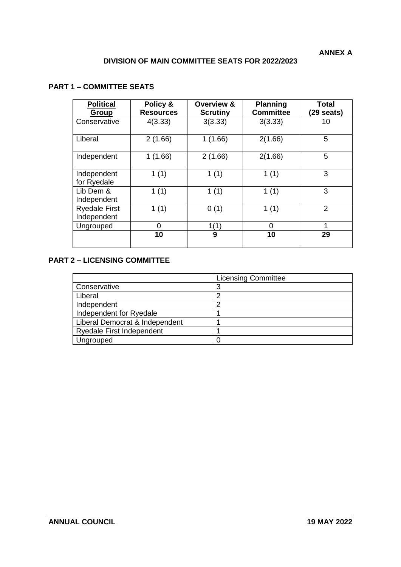## **DIVISION OF MAIN COMMITTEE SEATS FOR 2022/2023**

## **PART 1 – COMMITTEE SEATS**

| <b>Political</b><br>Group           | Policy &<br><b>Resources</b> | <b>Overview &amp;</b><br><b>Scrutiny</b> | <b>Planning</b><br><b>Committee</b> | Total<br>$(29$ seats) |
|-------------------------------------|------------------------------|------------------------------------------|-------------------------------------|-----------------------|
| Conservative                        | 4(3.33)                      | 3(3.33)                                  | 3(3.33)                             | 10                    |
| Liberal                             | 2(1.66)                      | 1(1.66)                                  | 2(1.66)                             | 5                     |
| Independent                         | 1(1.66)                      | 2(1.66)                                  | 2(1.66)                             | 5                     |
| Independent<br>for Ryedale          | 1(1)                         | 1(1)                                     | 1(1)                                | 3                     |
| Lib Dem &<br>Independent            | 1(1)                         | 1(1)                                     | 1(1)                                | 3                     |
| <b>Ryedale First</b><br>Independent | 1(1)                         | 0(1)                                     | 1(1)                                | $\overline{2}$        |
| Ungrouped                           | 0                            | 1(1)                                     | 0                                   | 1                     |
|                                     | 10                           | 9                                        | 10                                  | 29                    |

## **PART 2 – LICENSING COMMITTEE**

|                                  | <b>Licensing Committee</b> |
|----------------------------------|----------------------------|
| Conservative                     | っ                          |
| Liberal                          |                            |
| Independent                      |                            |
| Independent for Ryedale          |                            |
| Liberal Democrat & Independent   |                            |
| <b>Ryedale First Independent</b> |                            |
| Ungrouped                        |                            |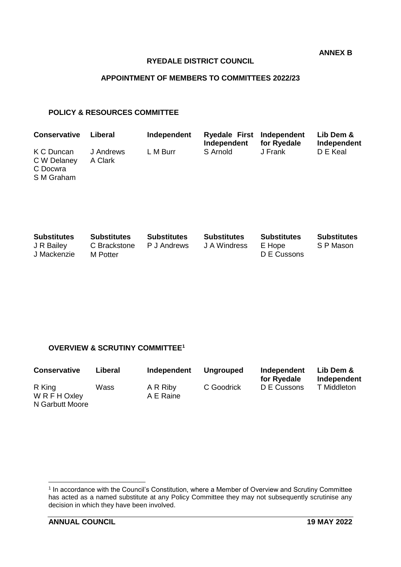**ANNEX B**

#### **RYEDALE DISTRICT COUNCIL**

## **APPOINTMENT OF MEMBERS TO COMMITTEES 2022/23**

#### **POLICY & RESOURCES COMMITTEE**

| <b>Conservative</b>                                 | Liberal              | Independent | Ryedale First Independent<br>Independent | for Ryedale | Lib Dem &<br>Independent |
|-----------------------------------------------------|----------------------|-------------|------------------------------------------|-------------|--------------------------|
| K C Duncan<br>C W Delaney<br>C Docwra<br>S M Graham | J Andrews<br>A Clark | L M Burr    | S Arnold                                 | J Frank     | D E Keal                 |

| <b>Substitutes</b> | <b>Substitutes</b> | <b>Substitutes</b> | <b>Substitutes</b> | <b>Substitutes</b> | <b>Substitutes</b> |
|--------------------|--------------------|--------------------|--------------------|--------------------|--------------------|
| J R Bailey         | C Brackstone       | P J Andrews        | J A Windress       | E Hope             | S P Mason          |
| J Mackenzie        | M Potter           |                    |                    | D E Cussons        |                    |

#### **OVERVIEW & SCRUTINY COMMITTEE<sup>1</sup>**

| <b>Conservative</b>                        | Liberal | Independent           | <b>Ungrouped</b> | Independent<br>for Ryedale | Lib Dem &<br>Independent |
|--------------------------------------------|---------|-----------------------|------------------|----------------------------|--------------------------|
| R King<br>W R F H Oxley<br>N Garbutt Moore | Wass    | A R Riby<br>A E Raine | C Goodrick       | D E Cussons                | T Middleton              |

 1 In accordance with the Council's Constitution, where a Member of Overview and Scrutiny Committee has acted as a named substitute at any Policy Committee they may not subsequently scrutinise any decision in which they have been involved.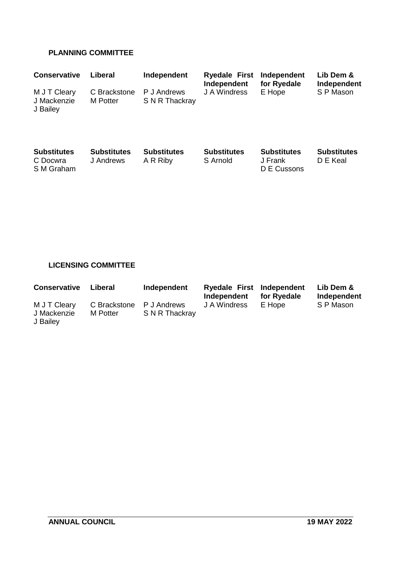## **PLANNING COMMITTEE**

| <b>Conservative</b>                          | Liberal                         | Independent                    | <b>Ryedale First</b><br>Independent | Independent<br>for Ryedale                   | Lib Dem &<br>Independent       |
|----------------------------------------------|---------------------------------|--------------------------------|-------------------------------------|----------------------------------------------|--------------------------------|
| M J T Cleary<br>J Mackenzie<br>J Bailey      | C Brackstone<br>M Potter        | P J Andrews<br>S N R Thackray  | J A Windress                        | E Hope                                       | S P Mason                      |
| <b>Substitutes</b><br>C Docwra<br>S M Graham | <b>Substitutes</b><br>J Andrews | <b>Substitutes</b><br>A R Riby | <b>Substitutes</b><br>S Arnold      | <b>Substitutes</b><br>J Frank<br>D E Cussons | <b>Substitutes</b><br>D E Keal |

# **LICENSING COMMITTEE**

| <b>Conservative</b>                     | Liberal                  | Independent                   | Ryedale First Independent<br>Independent | for Ryedale | Lib Dem &<br>Independent |
|-----------------------------------------|--------------------------|-------------------------------|------------------------------------------|-------------|--------------------------|
| M J T Cleary<br>J Mackenzie<br>J Bailey | C Brackstone<br>M Potter | P J Andrews<br>S N R Thackray | J A Windress                             | E Hope      | S P Mason                |